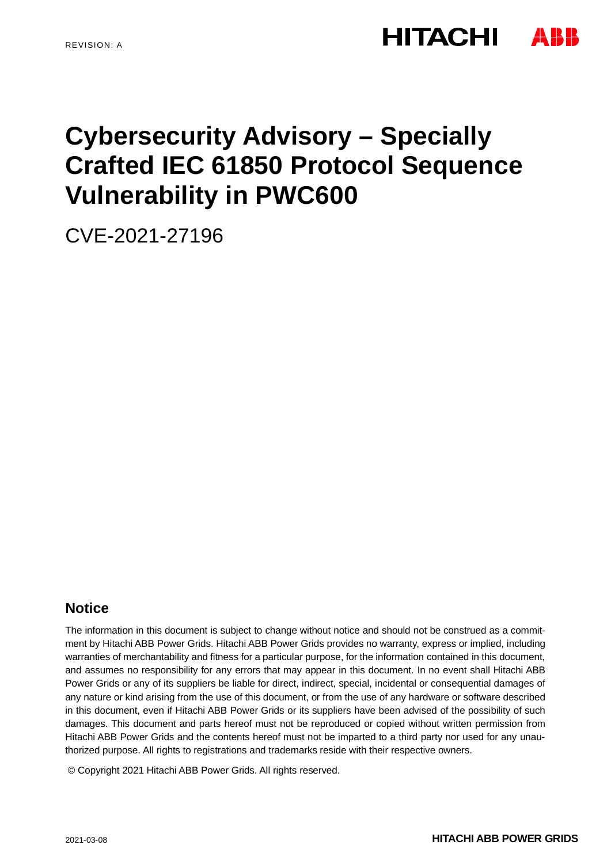# **HITACHI**

# **Cybersecurity Advisory – Specially Crafted IEC 61850 Protocol Sequence Vulnerability in PWC600**

CVE-2021-27196

## **Notice**

The information in this document is subject to change without notice and should not be construed as a commitment by Hitachi ABB Power Grids. Hitachi ABB Power Grids provides no warranty, express or implied, including warranties of merchantability and fitness for a particular purpose, for the information contained in this document, and assumes no responsibility for any errors that may appear in this document. In no event shall Hitachi ABB Power Grids or any of its suppliers be liable for direct, indirect, special, incidental or consequential damages of any nature or kind arising from the use of this document, or from the use of any hardware or software described in this document, even if Hitachi ABB Power Grids or its suppliers have been advised of the possibility of such damages. This document and parts hereof must not be reproduced or copied without written permission from Hitachi ABB Power Grids and the contents hereof must not be imparted to a third party nor used for any unauthorized purpose. All rights to registrations and trademarks reside with their respective owners.

© Copyright 2021 Hitachi ABB Power Grids. All rights reserved.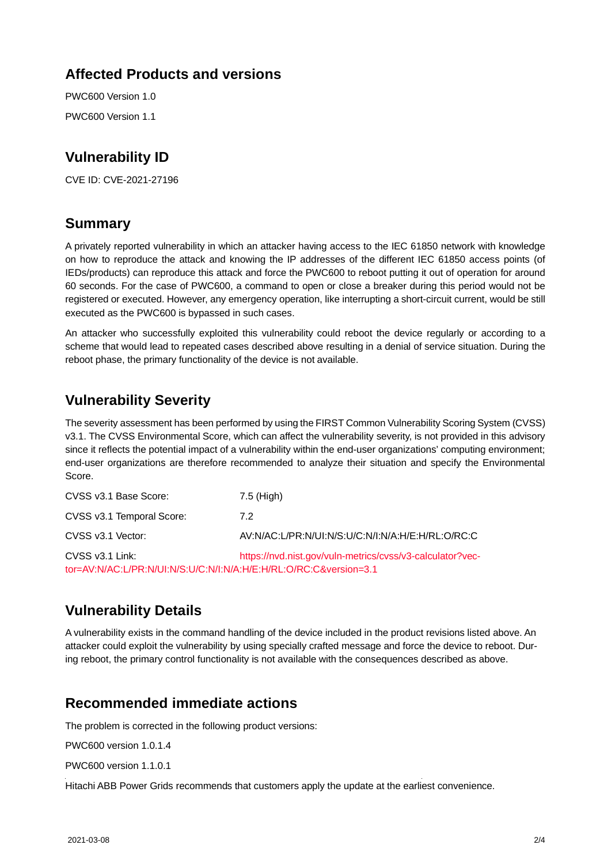## **Affected Products and versions**

PWC600 Version 1.0 PWC600 Version 1.1

# **Vulnerability ID**

CVE ID: CVE-2021-27196

## **Summary**

A privately reported vulnerability in which an attacker having access to the IEC 61850 network with knowledge on how to reproduce the attack and knowing the IP addresses of the different IEC 61850 access points (of IEDs/products) can reproduce this attack and force the PWC600 to reboot putting it out of operation for around 60 seconds. For the case of PWC600, a command to open or close a breaker during this period would not be registered or executed. However, any emergency operation, like interrupting a short-circuit current, would be still executed as the PWC600 is bypassed in such cases.

An attacker who successfully exploited this vulnerability could reboot the device regularly or according to a scheme that would lead to repeated cases described above resulting in a denial of service situation. During the reboot phase, the primary functionality of the device is not available.

# **Vulnerability Severity**

The severity assessment has been performed by using the FIRST Common Vulnerability Scoring System (CVSS) v3.1. The CVSS Environmental Score, which can affect the vulnerability severity, is not provided in this advisory since it reflects the potential impact of a vulnerability within the end-user organizations' computing environment; end-user organizations are therefore recommended to analyze their situation and specify the Environmental Score.

| CVSS v3.1 Base Score:                                                                | 7.5 (High)                                                |
|--------------------------------------------------------------------------------------|-----------------------------------------------------------|
| CVSS v3.1 Temporal Score:                                                            | 7.2                                                       |
| CVSS v3.1 Vector:                                                                    | AV:N/AC:L/PR:N/UI:N/S:U/C:N/I:N/A:H/E:H/RL:O/RC:C         |
| CVSS v3.1 Link:<br>tor=AV:N/AC:L/PR:N/UI:N/S:U/C:N/I:N/A:H/E:H/RL:O/RC:C&version=3.1 | https://nvd.nist.gov/vuln-metrics/cvss/v3-calculator?vec- |

# **Vulnerability Details**

A vulnerability exists in the command handling of the device included in the product revisions listed above. An attacker could exploit the vulnerability by using specially crafted message and force the device to reboot. During reboot, the primary control functionality is not available with the consequences described as above.

### **Recommended immediate actions**

The problem is corrected in the following product versions:

PWC600 version 1.0.1.4

PWC600 version 1.1.0.1

Hitachi ABB Power Grids recommends that customers apply the update at the earliest convenience.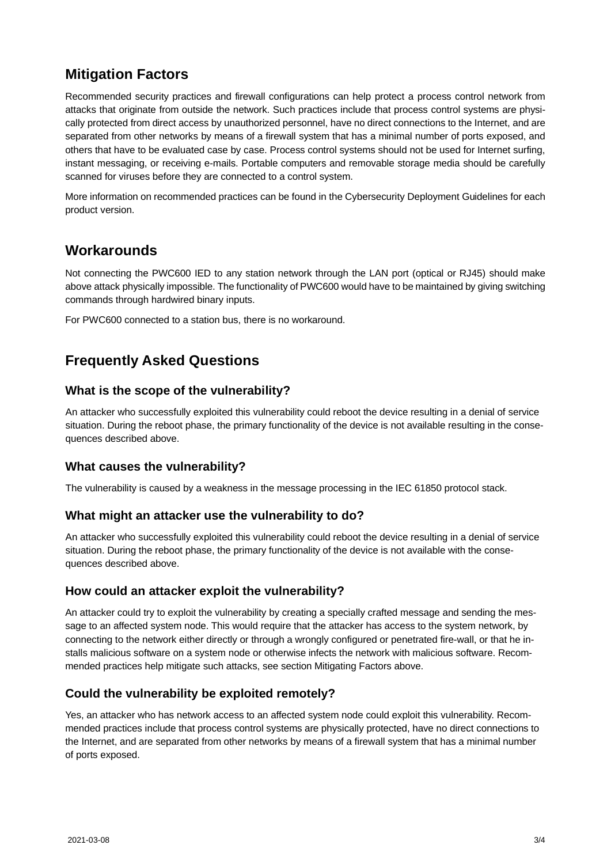## **Mitigation Factors**

Recommended security practices and firewall configurations can help protect a process control network from attacks that originate from outside the network. Such practices include that process control systems are physically protected from direct access by unauthorized personnel, have no direct connections to the Internet, and are separated from other networks by means of a firewall system that has a minimal number of ports exposed, and others that have to be evaluated case by case. Process control systems should not be used for Internet surfing, instant messaging, or receiving e-mails. Portable computers and removable storage media should be carefully scanned for viruses before they are connected to a control system.

More information on recommended practices can be found in the Cybersecurity Deployment Guidelines for each product version.

## **Workarounds**

Not connecting the PWC600 IED to any station network through the LAN port (optical or RJ45) should make above attack physically impossible. The functionality of PWC600 would have to be maintained by giving switching commands through hardwired binary inputs.

For PWC600 connected to a station bus, there is no workaround.

# **Frequently Asked Questions**

#### **What is the scope of the vulnerability?**

An attacker who successfully exploited this vulnerability could reboot the device resulting in a denial of service situation. During the reboot phase, the primary functionality of the device is not available resulting in the consequences described above.

#### **What causes the vulnerability?**

The vulnerability is caused by a weakness in the message processing in the IEC 61850 protocol stack.

#### **What might an attacker use the vulnerability to do?**

An attacker who successfully exploited this vulnerability could reboot the device resulting in a denial of service situation. During the reboot phase, the primary functionality of the device is not available with the consequences described above.

#### **How could an attacker exploit the vulnerability?**

An attacker could try to exploit the vulnerability by creating a specially crafted message and sending the message to an affected system node. This would require that the attacker has access to the system network, by connecting to the network either directly or through a wrongly configured or penetrated fire-wall, or that he installs malicious software on a system node or otherwise infects the network with malicious software. Recommended practices help mitigate such attacks, see section Mitigating Factors above.

#### **Could the vulnerability be exploited remotely?**

Yes, an attacker who has network access to an affected system node could exploit this vulnerability. Recommended practices include that process control systems are physically protected, have no direct connections to the Internet, and are separated from other networks by means of a firewall system that has a minimal number of ports exposed.